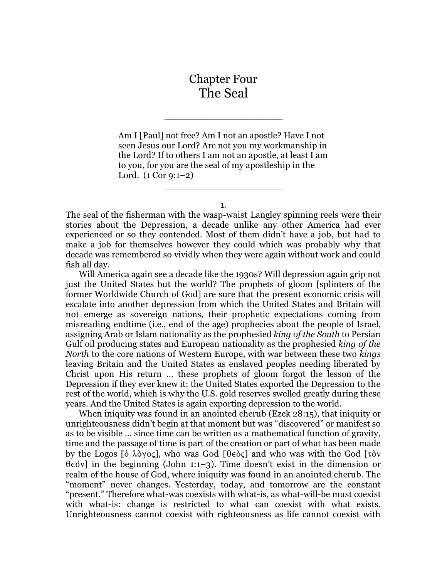## Chapter Four The Seal

\_\_\_\_\_\_\_\_\_\_\_\_\_\_\_\_\_\_\_\_\_

Am I [Paul] not free? Am I not an apostle? Have I not seen Jesus our Lord? Are not you my workmanship in the Lord? If to others I am not an apostle, at least I am to you, for you are the seal of my apostleship in the Lord. (1 Cor 9:1–2)

1.

 $\overline{\phantom{a}}$  , which is a set of the set of the set of the set of the set of the set of the set of the set of the set of the set of the set of the set of the set of the set of the set of the set of the set of the set of th

The seal of the fisherman with the wasp-waist Langley spinning reels were their stories about the Depression, a decade unlike any other America had ever experienced or so they contended. Most of them didn't have a job, but had to make a job for themselves however they could which was probably why that decade was remembered so vividly when they were again without work and could fish all day.

Will America again see a decade like the 1930s? Will depression again grip not just the United States but the world? The prophets of gloom [splinters of the former Worldwide Church of God] are sure that the present economic crisis will escalate into another depression from which the United States and Britain will not emerge as sovereign nations, their prophetic expectations coming from misreading endtime (i.e., end of the age) prophecies about the people of Israel, assigning Arab or Islam nationality as the prophesied *king of the South* to Persian Gulf oil producing states and European nationality as the prophesied *king of the North* to the core nations of Western Europe, with war between these two *kings* leaving Britain and the United States as enslaved peoples needing liberated by Christ upon His return … these prophets of gloom forgot the lesson of the Depression if they ever knew it: the United States exported the Depression to the rest of the world, which is why the U.S. gold reserves swelled greatly during these years. And the United States is again exporting depression to the world.

When iniquity was found in an anointed cherub (Ezek 28:15), that iniquity or unrighteousness didn't begin at that moment but was "discovered" or manifest so as to be visible … since time can be written as a mathematical function of gravity, time and the passage of time is part of the creation or part of what has been made by the Logos  $\delta \lambda \partial y$  oc], who was God  $\delta$   $\delta \delta \zeta$  and who was with the God  $\delta \zeta$  $\theta \in \{1, 2, \ldots\}$  in the beginning (John 1:1–3). Time doesn't exist in the dimension or realm of the house of God, where iniquity was found in an anointed cherub. The "moment" never changes. Yesterday, today, and tomorrow are the constant "present." Therefore what-was coexists with what-is, as what-will-be must coexist with what-is: change is restricted to what can coexist with what exists. Unrighteousness cannot coexist with righteousness as life cannot coexist with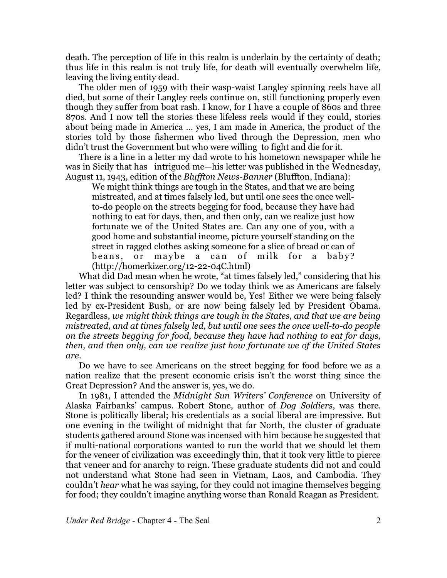death. The perception of life in this realm is underlain by the certainty of death; thus life in this realm is not truly life, for death will eventually overwhelm life, leaving the living entity dead.

The older men of 1959 with their wasp-waist Langley spinning reels have all died, but some of their Langley reels continue on, still functioning properly even though they suffer from boat rash. I know, for I have a couple of 860s and three 870s. And I now tell the stories these lifeless reels would if they could, stories about being made in America … yes, I am made in America, the product of the stories told by those fishermen who lived through the Depression, men who didn't trust the Government but who were willing to fight and die for it.

There is a line in a letter my dad wrote to his hometown newspaper while he was in Sicily that has intrigued me—his letter was published in the Wednesday, August 11, 1943, edition of the *Bluffton News-Banner* (Bluffton, Indiana):

We might think things are tough in the States, and that we are being mistreated, and at times falsely led, but until one sees the once wellto-do people on the streets begging for food, because they have had nothing to eat for days, then, and then only, can we realize just how fortunate we of the United States are. Can any one of you, with a good home and substantial income, picture yourself standing on the street in ragged clothes asking someone for a slice of bread or can of beans, or maybe a can of milk for a baby? (http://homerkizer.org/12-22-04C.html)

What did Dad mean when he wrote, "at times falsely led," considering that his letter was subject to censorship? Do we today think we as Americans are falsely led? I think the resounding answer would be, Yes! Either we were being falsely led by ex-President Bush, or are now being falsely led by President Obama. Regardless, *we might think things are tough in the States, and that we are being mistreated, and at times falsely led, but until one sees the once well-to-do people on the streets begging for food, because they have had nothing to eat for days, then, and then only, can we realize just how fortunate we of the United States are.*

Do we have to see Americans on the street begging for food before we as a nation realize that the present economic crisis isn't the worst thing since the Great Depression? And the answer is, yes, we do.

In 1981, I attended the *Midnight Sun Writers' Conference* on University of Alaska Fairbanks' campus. Robert Stone, author of *Dog Soldiers*, was there. Stone is politically liberal; his credentials as a social liberal are impressive. But one evening in the twilight of midnight that far North, the cluster of graduate students gathered around Stone was incensed with him because he suggested that if multi-national corporations wanted to run the world that we should let them for the veneer of civilization was exceedingly thin, that it took very little to pierce that veneer and for anarchy to reign. These graduate students did not and could not understand what Stone had seen in Vietnam, Laos, and Cambodia. They couldn't *hear* what he was saying, for they could not imagine themselves begging for food; they couldn't imagine anything worse than Ronald Reagan as President.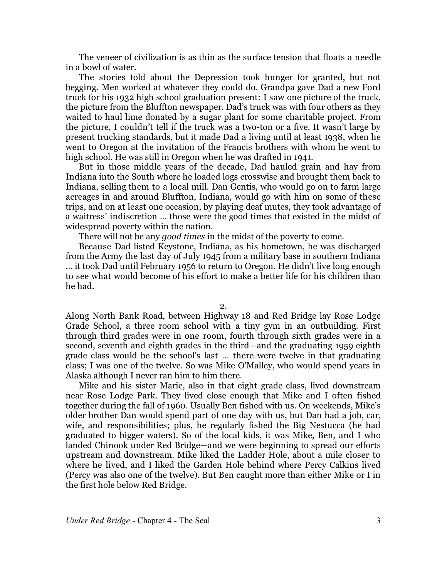The veneer of civilization is as thin as the surface tension that floats a needle in a bowl of water.

The stories told about the Depression took hunger for granted, but not begging. Men worked at whatever they could do. Grandpa gave Dad a new Ford truck for his 1932 high school graduation present: I saw one picture of the truck, the picture from the Bluffton newspaper. Dad's truck was with four others as they waited to haul lime donated by a sugar plant for some charitable project. From the picture, I couldn't tell if the truck was a two-ton or a five. It wasn't large by present trucking standards, but it made Dad a living until at least 1938, when he went to Oregon at the invitation of the Francis brothers with whom he went to high school. He was still in Oregon when he was drafted in 1941.

But in those middle years of the decade, Dad hauled grain and hay from Indiana into the South where he loaded logs crosswise and brought them back to Indiana, selling them to a local mill. Dan Gentis, who would go on to farm large acreages in and around Bluffton, Indiana, would go with him on some of these trips, and on at least one occasion, by playing deaf mutes, they took advantage of a waitress' indiscretion … those were the good times that existed in the midst of widespread poverty within the nation.

There will not be any *good times* in the midst of the poverty to come.

Because Dad listed Keystone, Indiana, as his hometown, he was discharged from the Army the last day of July 1945 from a military base in southern Indiana … it took Dad until February 1956 to return to Oregon. He didn't live long enough to see what would become of his effort to make a better life for his children than he had.

2.

Along North Bank Road, between Highway 18 and Red Bridge lay Rose Lodge Grade School, a three room school with a tiny gym in an outbuilding. First through third grades were in one room, fourth through sixth grades were in a second, seventh and eighth grades in the third—and the graduating 1959 eighth grade class would be the school's last … there were twelve in that graduating class; I was one of the twelve. So was Mike O'Malley, who would spend years in Alaska although I never ran him to him there.

Mike and his sister Marie, also in that eight grade class, lived downstream near Rose Lodge Park. They lived close enough that Mike and I often fished together during the fall of 1960. Usually Ben fished with us. On weekends, Mike's older brother Dan would spend part of one day with us, but Dan had a job, car, wife, and responsibilities; plus, he regularly fished the Big Nestucca (he had graduated to bigger waters). So of the local kids, it was Mike, Ben, and I who landed Chinook under Red Bridge—and we were beginning to spread our efforts upstream and downstream. Mike liked the Ladder Hole, about a mile closer to where he lived, and I liked the Garden Hole behind where Percy Calkins lived (Percy was also one of the twelve). But Ben caught more than either Mike or I in the first hole below Red Bridge.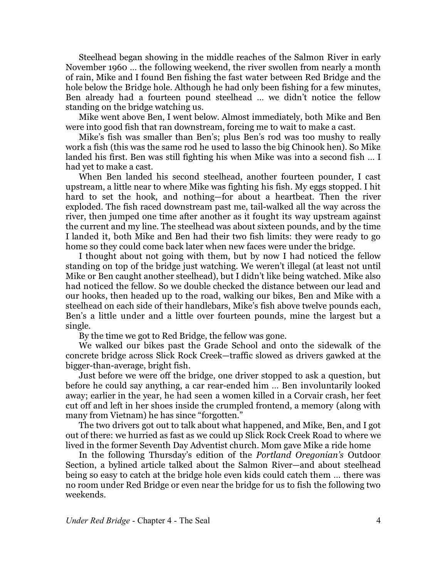Steelhead began showing in the middle reaches of the Salmon River in early November 1960 … the following weekend, the river swollen from nearly a month of rain, Mike and I found Ben fishing the fast water between Red Bridge and the hole below the Bridge hole. Although he had only been fishing for a few minutes, Ben already had a fourteen pound steelhead … we didn't notice the fellow standing on the bridge watching us.

Mike went above Ben, I went below. Almost immediately, both Mike and Ben were into good fish that ran downstream, forcing me to wait to make a cast.

Mike's fish was smaller than Ben's; plus Ben's rod was too mushy to really work a fish (this was the same rod he used to lasso the big Chinook hen). So Mike landed his first. Ben was still fighting his when Mike was into a second fish … I had yet to make a cast.

When Ben landed his second steelhead, another fourteen pounder, I cast upstream, a little near to where Mike was fighting his fish. My eggs stopped. I hit hard to set the hook, and nothing—for about a heartbeat. Then the river exploded. The fish raced downstream past me, tail-walked all the way across the river, then jumped one time after another as it fought its way upstream against the current and my line. The steelhead was about sixteen pounds, and by the time I landed it, both Mike and Ben had their two fish limits: they were ready to go home so they could come back later when new faces were under the bridge.

I thought about not going with them, but by now I had noticed the fellow standing on top of the bridge just watching. We weren't illegal (at least not until Mike or Ben caught another steelhead), but I didn't like being watched. Mike also had noticed the fellow. So we double checked the distance between our lead and our hooks, then headed up to the road, walking our bikes, Ben and Mike with a steelhead on each side of their handlebars, Mike's fish above twelve pounds each, Ben's a little under and a little over fourteen pounds, mine the largest but a single.

By the time we got to Red Bridge, the fellow was gone.

We walked our bikes past the Grade School and onto the sidewalk of the concrete bridge across Slick Rock Creek—traffic slowed as drivers gawked at the bigger-than-average, bright fish.

Just before we were off the bridge, one driver stopped to ask a question, but before he could say anything, a car rear-ended him … Ben involuntarily looked away; earlier in the year, he had seen a women killed in a Corvair crash, her feet cut off and left in her shoes inside the crumpled frontend, a memory (along with many from Vietnam) he has since "forgotten."

The two drivers got out to talk about what happened, and Mike, Ben, and I got out of there: we hurried as fast as we could up Slick Rock Creek Road to where we lived in the former Seventh Day Adventist church. Mom gave Mike a ride home

In the following Thursday's edition of the *Portland Oregonian's* Outdoor Section, a bylined article talked about the Salmon River—and about steelhead being so easy to catch at the bridge hole even kids could catch them … there was no room under Red Bridge or even near the bridge for us to fish the following two weekends.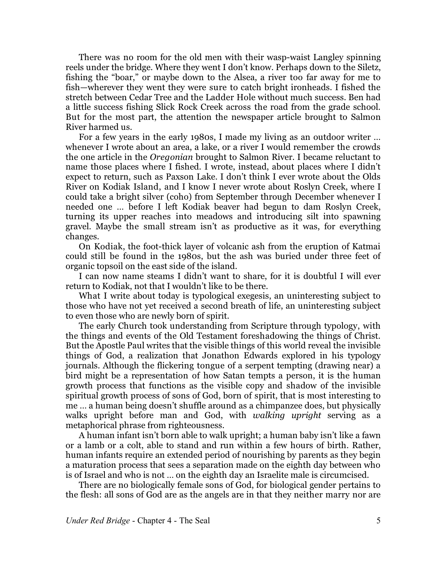There was no room for the old men with their wasp-waist Langley spinning reels under the bridge. Where they went I don't know. Perhaps down to the Siletz, fishing the "boar," or maybe down to the Alsea, a river too far away for me to fish—wherever they went they were sure to catch bright ironheads. I fished the stretch between Cedar Tree and the Ladder Hole without much success. Ben had a little success fishing Slick Rock Creek across the road from the grade school. But for the most part, the attention the newspaper article brought to Salmon River harmed us.

For a few years in the early 1980s, I made my living as an outdoor writer … whenever I wrote about an area, a lake, or a river I would remember the crowds the one article in the *Oregonian* brought to Salmon River. I became reluctant to name those places where I fished. I wrote, instead, about places where I didn't expect to return, such as Paxson Lake. I don't think I ever wrote about the Olds River on Kodiak Island, and I know I never wrote about Roslyn Creek, where I could take a bright silver (coho) from September through December whenever I needed one … before I left Kodiak beaver had begun to dam Roslyn Creek, turning its upper reaches into meadows and introducing silt into spawning gravel. Maybe the small stream isn't as productive as it was, for everything changes.

On Kodiak, the foot-thick layer of volcanic ash from the eruption of Katmai could still be found in the 1980s, but the ash was buried under three feet of organic topsoil on the east side of the island.

I can now name steams I didn't want to share, for it is doubtful I will ever return to Kodiak, not that I wouldn't like to be there.

What I write about today is typological exegesis, an uninteresting subject to those who have not yet received a second breath of life, an uninteresting subject to even those who are newly born of spirit.

The early Church took understanding from Scripture through typology, with the things and events of the Old Testament foreshadowing the things of Christ. But the Apostle Paul writes that the visible things of this world reveal the invisible things of God, a realization that Jonathon Edwards explored in his typology journals. Although the flickering tongue of a serpent tempting (drawing near) a bird might be a representation of how Satan tempts a person, it is the human growth process that functions as the visible copy and shadow of the invisible spiritual growth process of sons of God, born of spirit, that is most interesting to me … a human being doesn't shuffle around as a chimpanzee does, but physically walks upright before man and God, with *walking upright* serving as a metaphorical phrase from righteousness.

A human infant isn't born able to walk upright; a human baby isn't like a fawn or a lamb or a colt, able to stand and run within a few hours of birth. Rather, human infants require an extended period of nourishing by parents as they begin a maturation process that sees a separation made on the eighth day between who is of Israel and who is not … on the eighth day an Israelite male is circumcised.

There are no biologically female sons of God, for biological gender pertains to the flesh: all sons of God are as the angels are in that they neither marry nor are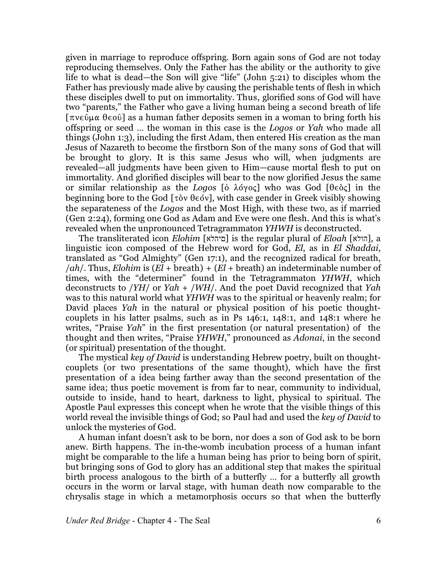given in marriage to reproduce offspring. Born again sons of God are not today reproducing themselves. Only the Father has the ability or the authority to give life to what is dead—the Son will give "life" (John 5:21) to disciples whom the Father has previously made alive by causing the perishable tents of flesh in which these disciples dwell to put on immortality. Thus, glorified sons of God will have two "parents," the Father who gave a living human being a second breath of life  $[\pi v \in \hat{\mathfrak{g}}]$  as a human father deposits semen in a woman to bring forth his offspring or seed … the woman in this case is the *Logos* or *Yah* who made all things (John 1:3), including the first Adam, then entered His creation as the man Jesus of Nazareth to become the firstborn Son of the many sons of God that will be brought to glory. It is this same Jesus who will, when judgments are revealed—all judgments have been given to Him—cause mortal flesh to put on immortality. And glorified disciples will bear to the now glorified Jesus the same or similar relationship as the *Logos* [o  $\lambda$ o $\gamma$ oς] who was God [ $\theta \in \delta \in \mathcal{S}$ ] in the beginning bore to the God  $\lceil \tau \delta v \theta \in \delta v \rceil$ , with case gender in Greek visibly showing the separateness of the *Logos* and the Most High, with these two, as if married (Gen 2:24), forming one God as Adam and Eve were one flesh. And this is what's revealed when the unpronounced Tetragrammaton *YHWH* is deconstructed.

The transliterated icon *Elohim* [àìäéí] is the regular plural of *Eloah* [àìåä], a linguistic icon composed of the Hebrew word for God, *El*, as in *El Shaddai*, translated as "God Almighty" (Gen 17:1), and the recognized radical for breath, /*ah*/. Thus, *Elohim* is (*El* + breath) + (*El* + breath) an indeterminable number of times, with the "determiner" found in the Tetragrammaton *YHWH*, which deconstructs to /*YH*/ or *Yah* + /*WH*/. And the poet David recognized that *Yah* was to this natural world what *YHWH* was to the spiritual or heavenly realm; for David places *Yah* in the natural or physical position of his poetic thoughtcouplets in his latter psalms, such as in Ps 146:1, 148:1, and 148:1 where he writes, "Praise *Yah*" in the first presentation (or natural presentation) of the thought and then writes, "Praise *YHWH*," pronounced as *Adonai*, in the second (or spiritual) presentation of the thought.

The mystical *key of David* is understanding Hebrew poetry, built on thoughtcouplets (or two presentations of the same thought), which have the first presentation of a idea being farther away than the second presentation of the same idea; thus poetic movement is from far to near, community to individual, outside to inside, hand to heart, darkness to light, physical to spiritual. The Apostle Paul expresses this concept when he wrote that the visible things of this world reveal the invisible things of God; so Paul had and used the *key of David* to unlock the mysteries of God.

A human infant doesn't ask to be born, nor does a son of God ask to be born anew. Birth happens. The in-the-womb incubation process of a human infant might be comparable to the life a human being has prior to being born of spirit, but bringing sons of God to glory has an additional step that makes the spiritual birth process analogous to the birth of a butterfly … for a butterfly all growth occurs in the worm or larval stage, with human death now comparable to the chrysalis stage in which a metamorphosis occurs so that when the butterfly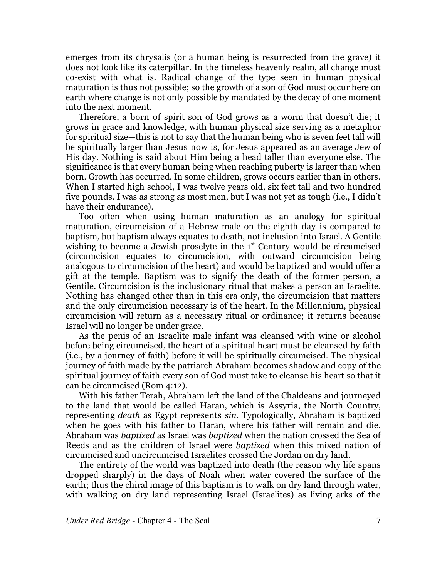emerges from its chrysalis (or a human being is resurrected from the grave) it does not look like its caterpillar. In the timeless heavenly realm, all change must co-exist with what is. Radical change of the type seen in human physical maturation is thus not possible; so the growth of a son of God must occur here on earth where change is not only possible by mandated by the decay of one moment into the next moment.

Therefore, a born of spirit son of God grows as a worm that doesn't die; it grows in grace and knowledge, with human physical size serving as a metaphor for spiritual size—this is not to say that the human being who is seven feet tall will be spiritually larger than Jesus now is, for Jesus appeared as an average Jew of His day. Nothing is said about Him being a head taller than everyone else. The significance is that every human being when reaching puberty is larger than when born. Growth has occurred. In some children, grows occurs earlier than in others. When I started high school, I was twelve years old, six feet tall and two hundred five pounds. I was as strong as most men, but I was not yet as tough (i.e., I didn't have their endurance).

Too often when using human maturation as an analogy for spiritual maturation, circumcision of a Hebrew male on the eighth day is compared to baptism, but baptism always equates to death, not inclusion into Israel. A Gentile wishing to become a Jewish proselyte in the 1s<sup>t</sup>-Century would be circumcised (circumcision equates to circumcision, with outward circumcision being analogous to circumcision of the heart) and would be baptized and would offer a gift at the temple. Baptism was to signify the death of the former person, a Gentile. Circumcision is the inclusionary ritual that makes a person an Israelite. Nothing has changed other than in this era only, the circumcision that matters and the only circumcision necessary is of the heart. In the Millennium, physical circumcision will return as a necessary ritual or ordinance; it returns because Israel will no longer be under grace.

As the penis of an Israelite male infant was cleansed with wine or alcohol before being circumcised, the heart of a spiritual heart must be cleansed by faith (i.e., by a journey of faith) before it will be spiritually circumcised. The physical journey of faith made by the patriarch Abraham becomes shadow and copy of the spiritual journey of faith every son of God must take to cleanse his heart so that it can be circumcised (Rom 4:12).

With his father Terah, Abraham left the land of the Chaldeans and journeyed to the land that would be called Haran, which is Assyria, the North Country, representing *death* as Egypt represents *sin*. Typologically, Abraham is baptized when he goes with his father to Haran, where his father will remain and die. Abraham was *baptized* as Israel was *baptized* when the nation crossed the Sea of Reeds and as the children of Israel were *baptized* when this mixed nation of circumcised and uncircumcised Israelites crossed the Jordan on dry land.

The entirety of the world was baptized into death (the reason why life spans dropped sharply) in the days of Noah when water covered the surface of the earth; thus the chiral image of this baptism is to walk on dry land through water, with walking on dry land representing Israel (Israelites) as living arks of the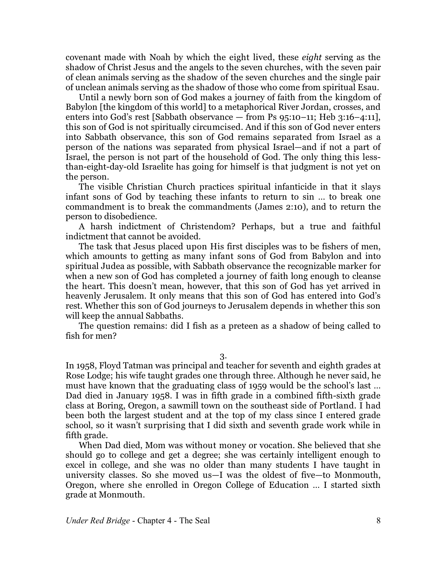covenant made with Noah by which the eight lived, these *eight* serving as the shadow of Christ Jesus and the angels to the seven churches, with the seven pair of clean animals serving as the shadow of the seven churches and the single pair of unclean animals serving as the shadow of those who come from spiritual Esau.

Until a newly born son of God makes a journey of faith from the kingdom of Babylon [the kingdom of this world] to a metaphorical River Jordan, crosses, and enters into God's rest [Sabbath observance – from Ps 95:10-11; Heb 3:16-4:11], this son of God is not spiritually circumcised. And if this son of God never enters into Sabbath observance, this son of God remains separated from Israel as a person of the nations was separated from physical Israel—and if not a part of Israel, the person is not part of the household of God. The only thing this lessthan-eight-day-old Israelite has going for himself is that judgment is not yet on the person.

The visible Christian Church practices spiritual infanticide in that it slays infant sons of God by teaching these infants to return to sin … to break one commandment is to break the commandments (James 2:10), and to return the person to disobedience.

A harsh indictment of Christendom? Perhaps, but a true and faithful indictment that cannot be avoided.

The task that Jesus placed upon His first disciples was to be fishers of men, which amounts to getting as many infant sons of God from Babylon and into spiritual Judea as possible, with Sabbath observance the recognizable marker for when a new son of God has completed a journey of faith long enough to cleanse the heart. This doesn't mean, however, that this son of God has yet arrived in heavenly Jerusalem. It only means that this son of God has entered into God's rest. Whether this son of God journeys to Jerusalem depends in whether this son will keep the annual Sabbaths.

The question remains: did I fish as a preteen as a shadow of being called to fish for men?

3.

In 1958, Floyd Tatman was principal and teacher for seventh and eighth grades at Rose Lodge; his wife taught grades one through three. Although he never said, he must have known that the graduating class of 1959 would be the school's last … Dad died in January 1958. I was in fifth grade in a combined fifth-sixth grade class at Boring, Oregon, a sawmill town on the southeast side of Portland. I had been both the largest student and at the top of my class since I entered grade school, so it wasn't surprising that I did sixth and seventh grade work while in fifth grade.

When Dad died, Mom was without money or vocation. She believed that she should go to college and get a degree; she was certainly intelligent enough to excel in college, and she was no older than many students I have taught in university classes. So she moved us—I was the oldest of five—to Monmouth, Oregon, where she enrolled in Oregon College of Education … I started sixth grade at Monmouth.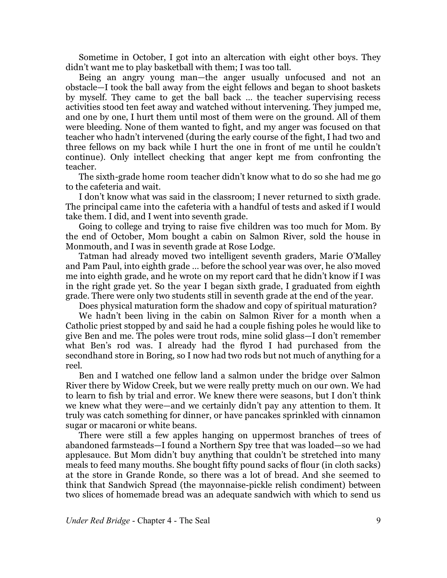Sometime in October, I got into an altercation with eight other boys. They didn't want me to play basketball with them; I was too tall.

Being an angry young man—the anger usually unfocused and not an obstacle—I took the ball away from the eight fellows and began to shoot baskets by myself. They came to get the ball back … the teacher supervising recess activities stood ten feet away and watched without intervening. They jumped me, and one by one, I hurt them until most of them were on the ground. All of them were bleeding. None of them wanted to fight, and my anger was focused on that teacher who hadn't intervened (during the early course of the fight, I had two and three fellows on my back while I hurt the one in front of me until he couldn't continue). Only intellect checking that anger kept me from confronting the teacher.

The sixth-grade home room teacher didn't know what to do so she had me go to the cafeteria and wait.

I don't know what was said in the classroom; I never returned to sixth grade. The principal came into the cafeteria with a handful of tests and asked if I would take them. I did, and I went into seventh grade.

Going to college and trying to raise five children was too much for Mom. By the end of October, Mom bought a cabin on Salmon River, sold the house in Monmouth, and I was in seventh grade at Rose Lodge.

Tatman had already moved two intelligent seventh graders, Marie O'Malley and Pam Paul, into eighth grade … before the school year was over, he also moved me into eighth grade, and he wrote on my report card that he didn't know if I was in the right grade yet. So the year I began sixth grade, I graduated from eighth grade. There were only two students still in seventh grade at the end of the year.

Does physical maturation form the shadow and copy of spiritual maturation?

We hadn't been living in the cabin on Salmon River for a month when a Catholic priest stopped by and said he had a couple fishing poles he would like to give Ben and me. The poles were trout rods, mine solid glass—I don't remember what Ben's rod was. I already had the flyrod I had purchased from the secondhand store in Boring, so I now had two rods but not much of anything for a reel.

Ben and I watched one fellow land a salmon under the bridge over Salmon River there by Widow Creek, but we were really pretty much on our own. We had to learn to fish by trial and error. We knew there were seasons, but I don't think we knew what they were—and we certainly didn't pay any attention to them. It truly was catch something for dinner, or have pancakes sprinkled with cinnamon sugar or macaroni or white beans.

There were still a few apples hanging on uppermost branches of trees of abandoned farmsteads—I found a Northern Spy tree that was loaded—so we had applesauce. But Mom didn't buy anything that couldn't be stretched into many meals to feed many mouths. She bought fifty pound sacks of flour (in cloth sacks) at the store in Grande Ronde, so there was a lot of bread. And she seemed to think that Sandwich Spread (the mayonnaise-pickle relish condiment) between two slices of homemade bread was an adequate sandwich with which to send us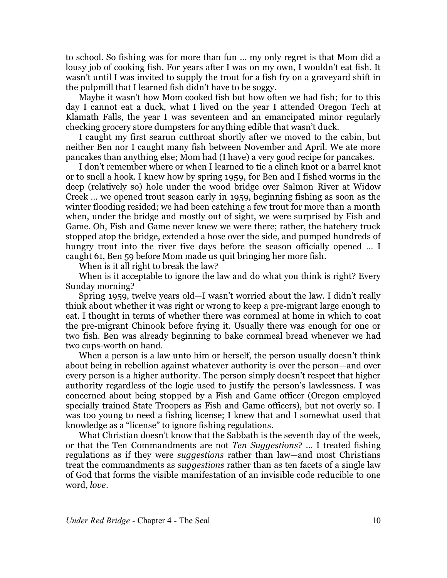to school. So fishing was for more than fun … my only regret is that Mom did a lousy job of cooking fish. For years after I was on my own, I wouldn't eat fish. It wasn't until I was invited to supply the trout for a fish fry on a graveyard shift in the pulpmill that I learned fish didn't have to be soggy.

Maybe it wasn't how Mom cooked fish but how often we had fish; for to this day I cannot eat a duck, what I lived on the year I attended Oregon Tech at Klamath Falls, the year I was seventeen and an emancipated minor regularly checking grocery store dumpsters for anything edible that wasn't duck.

I caught my first searun cutthroat shortly after we moved to the cabin, but neither Ben nor I caught many fish between November and April. We ate more pancakes than anything else; Mom had (I have) a very good recipe for pancakes.

I don't remember where or when I learned to tie a clinch knot or a barrel knot or to snell a hook. I knew how by spring 1959, for Ben and I fished worms in the deep (relatively so) hole under the wood bridge over Salmon River at Widow Creek … we opened trout season early in 1959, beginning fishing as soon as the winter flooding resided; we had been catching a few trout for more than a month when, under the bridge and mostly out of sight, we were surprised by Fish and Game. Oh, Fish and Game never knew we were there; rather, the hatchery truck stopped atop the bridge, extended a hose over the side, and pumped hundreds of hungry trout into the river five days before the season officially opened … I caught 61, Ben 59 before Mom made us quit bringing her more fish.

When is it all right to break the law?

When is it acceptable to ignore the law and do what you think is right? Every Sunday morning?

Spring 1959, twelve years old—I wasn't worried about the law. I didn't really think about whether it was right or wrong to keep a pre-migrant large enough to eat. I thought in terms of whether there was cornmeal at home in which to coat the pre-migrant Chinook before frying it. Usually there was enough for one or two fish. Ben was already beginning to bake cornmeal bread whenever we had two cups-worth on hand.

When a person is a law unto him or herself, the person usually doesn't think about being in rebellion against whatever authority is over the person—and over every person is a higher authority. The person simply doesn't respect that higher authority regardless of the logic used to justify the person's lawlessness. I was concerned about being stopped by a Fish and Game officer (Oregon employed specially trained State Troopers as Fish and Game officers), but not overly so. I was too young to need a fishing license; I knew that and I somewhat used that knowledge as a "license" to ignore fishing regulations.

What Christian doesn't know that the Sabbath is the seventh day of the week, or that the Ten Commandments are not *Ten Suggestions*? … I treated fishing regulations as if they were *suggestions* rather than law—and most Christians treat the commandments as *suggestions* rather than as ten facets of a single law of God that forms the visible manifestation of an invisible code reducible to one word, *love*.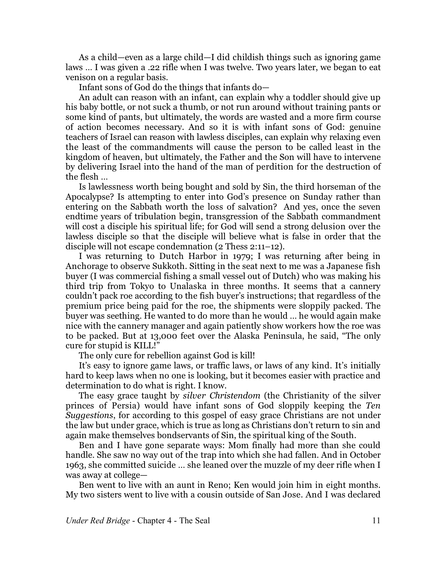As a child—even as a large child—I did childish things such as ignoring game laws … I was given a .22 rifle when I was twelve. Two years later, we began to eat venison on a regular basis.

Infant sons of God do the things that infants do—

An adult can reason with an infant, can explain why a toddler should give up his baby bottle, or not suck a thumb, or not run around without training pants or some kind of pants, but ultimately, the words are wasted and a more firm course of action becomes necessary. And so it is with infant sons of God: genuine teachers of Israel can reason with lawless disciples, can explain why relaxing even the least of the commandments will cause the person to be called least in the kingdom of heaven, but ultimately, the Father and the Son will have to intervene by delivering Israel into the hand of the man of perdition for the destruction of the flesh …

Is lawlessness worth being bought and sold by Sin, the third horseman of the Apocalypse? Is attempting to enter into God's presence on Sunday rather than entering on the Sabbath worth the loss of salvation? And yes, once the seven endtime years of tribulation begin, transgression of the Sabbath commandment will cost a disciple his spiritual life; for God will send a strong delusion over the lawless disciple so that the disciple will believe what is false in order that the disciple will not escape condemnation (2 Thess 2:11–12).

I was returning to Dutch Harbor in 1979; I was returning after being in Anchorage to observe Sukkoth. Sitting in the seat next to me was a Japanese fish buyer (I was commercial fishing a small vessel out of Dutch) who was making his third trip from Tokyo to Unalaska in three months. It seems that a cannery couldn't pack roe according to the fish buyer's instructions; that regardless of the premium price being paid for the roe, the shipments were sloppily packed. The buyer was seething. He wanted to do more than he would … he would again make nice with the cannery manager and again patiently show workers how the roe was to be packed. But at 13,000 feet over the Alaska Peninsula, he said, "The only cure for stupid is KILL!"

The only cure for rebellion against God is kill!

It's easy to ignore game laws, or traffic laws, or laws of any kind. It's initially hard to keep laws when no one is looking, but it becomes easier with practice and determination to do what is right. I know.

The easy grace taught by *silver Christendom* (the Christianity of the silver princes of Persia) would have infant sons of God sloppily keeping the *Ten Suggestions*, for according to this gospel of easy grace Christians are not under the law but under grace, which is true as long as Christians don't return to sin and again make themselves bondservants of Sin, the spiritual king of the South.

Ben and I have gone separate ways: Mom finally had more than she could handle. She saw no way out of the trap into which she had fallen. And in October 1963, she committed suicide … she leaned over the muzzle of my deer rifle when I was away at college—

Ben went to live with an aunt in Reno; Ken would join him in eight months. My two sisters went to live with a cousin outside of San Jose. And I was declared